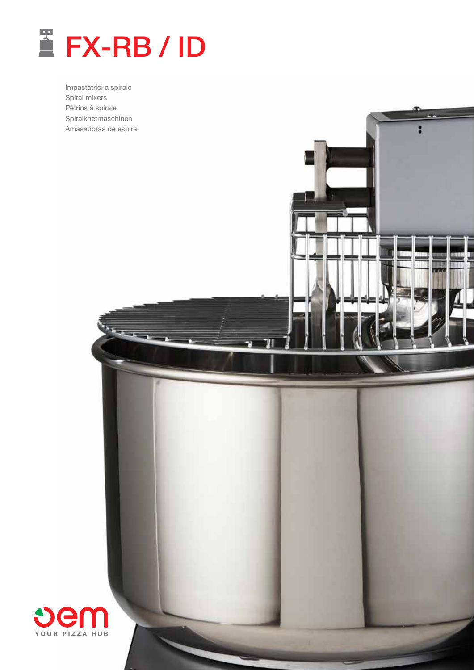

Impastatrici a spirale Spiral mixers Pétrins à spirale Spiralknetmaschinen Amasadoras de espiral

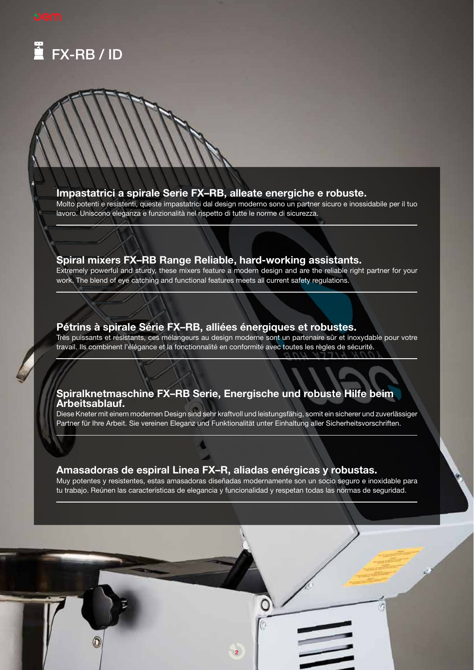

# Impastatrici a spirale Serie FX–RB, alleate energiche e robuste.

Molto potenti e resistenti, queste impastatrici dal design moderno sono un partner sicuro e inossidabile per il tuo lavoro. Uniscono eleganza e funzionalità nel rispetto di tutte le norme di sicurezza.

# Spiral mixers FX–RB Range Reliable, hard-working assistants.

Extremely powerful and sturdy, these mixers feature a modern design and are the reliable right partner for your work. The blend of eye catching and functional features meets all current safety regulations.

# Pétrins à spirale Série FX–RB, alliées énergiques et robustes.

Très puissants et résistants, ces mélangeurs au design moderne sont un partenaire sûr et inoxydable pour votre travail. Ils combinent l'élégance et la fonctionnalité en conformité avec toutes les règles de sécurité.

# Spiralknetmaschine FX–RB Serie, Energische und robuste Hilfe beim Arbeitsablauf.

Diese Kneter mit einem modernen Design sind sehr kraftvoll und leistungsfähig, somit ein sicherer und zuverlässiger Partner für Ihre Arbeit. Sie vereinen Eleganz und Funktionalität unter Einhaltung aller Sicherheitsvorschriften.

# Amasadoras de espiral Linea FX–R, aliadas enérgicas y robustas.

Muy potentes y resistentes, estas amasadoras diseñadas modernamente son un socio seguro e inoxidable para tu trabajo. Reúnen las características de elegancia y funcionalidad y respetan todas las normas de seguridad.

2

Ğ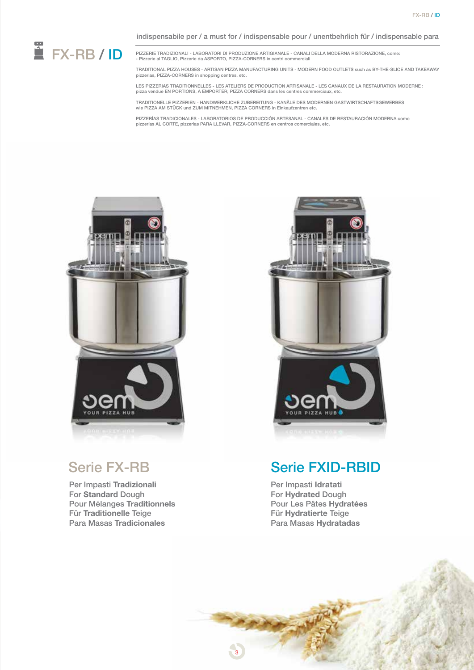

PIZZERIE TRADIZIONALI - LABORATORI DI PRODUZIONE ARTIGIANALE - CANALI DELLA MODERNA RISTORAZIONE, come: - Pizzerie al TAGLIO, Pizzerie da ASPORTO, PIZZA-CORNERS in centri commerciali

TRADITIONAL PIZZA HOUSES - ARTISAN PIZZA MANUFACTURING UNITS - MODERN FOOD OUTLETS such as BY-THE-SLICE AND TAKEAWAY pizzerias, PIZZA-CORNERS in shopping centres, etc.

LES PIZZERIAS TRADITIONNELLES - LES ATELIERS DE PRODUCTION ARTISANALE - LES CANAUX DE LA RESTAURATION MODERNE : pizza vendue EN PORTIONS, A EMPORTER, PIZZA CORNERS dans les centres commerciaux, etc.

TRADITIONELLE PIZZERIEN - HANDWERKLICHE ZUBEREITUNG - KANÄLE DES MODERNEN GASTWIRTSCHAFTSGEWERBES wie PIZZA AM STÜCK und ZUM MITNEHMEN, PIZZA CORNERS in Einkaufzentren etc.

PIZZERÍAS TRADICIONALES - LABORATORIOS DE PRODUCCIÓN ARTESANAL - CANALES DE RESTAURACIÓN MODERNA como pizzerías AL CORTE, pizzerías PARA LLEVAR, PIZZA-CORNERS en centros comerciales, etc.



Per Impasti Tradizionali For Standard Dough Pour Mélanges Traditionnels Für Traditionelle Teige Para Masas Tradicionales



# Serie FX-RB Serie FXID-RBID

Per Impasti Idratati For Hydrated Dough Pour Les Pâtes Hydratées Für Hydratierte Teige Para Masas Hydratadas

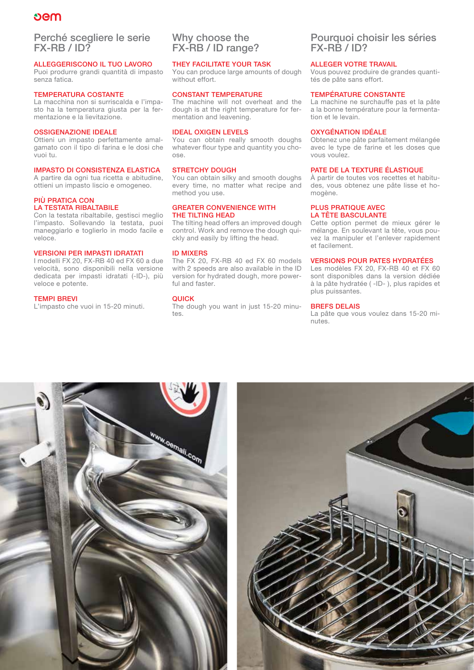# **Dem**

# Perché scegliere le serie FX-RB / ID?

#### ALLEGGERISCONO IL TUO LAVORO

Puoi produrre grandi quantità di impasto senza fatica.

#### TEMPERATURA COSTANTE

La macchina non si surriscalda e l'impasto ha la temperatura giusta per la fermentazione e la lievitazione.

#### OSSIGENAZIONE IDEALE

Ottieni un impasto perfettamente amalgamato con il tipo di farina e le dosi che vuoi tu.

#### IMPASTO DI CONSISTENZA ELASTICA

A partire da ogni tua ricetta e abitudine, ottieni un impasto liscio e omogeneo.

#### PIÙ PRATICA CON LA TESTATA RIBALTABILE

Con la testata ribaltabile, gestisci meglio l'impasto. Sollevando la testata, puoi maneggiarlo e toglierlo in modo facile e veloce.

#### VERSIONI PER IMPASTI IDRATATI

I modelli FX 20, FX-RB 40 ed FX 60 a due velocità, sono disponibili nella versione dedicata per impasti idratati (-ID-), più veloce e potente.

#### TEMPI BREVI

L'impasto che vuoi in 15-20 minuti.

# Why choose the FX-RB / ID range?

#### THEY FACILITATE YOUR TASK

You can produce large amounts of dough without effort.

### CONSTANT TEMPERATURE

The machine will not overheat and the dough is at the right temperature for fermentation and leavening.

#### IDEAL OXIGEN LEVELS

You can obtain really smooth doughs whatever flour type and quantity you choose.

#### STRETCHY DOUGH

You can obtain silky and smooth doughs every time, no matter what recipe and method you use.

#### GREATER CONVENIENCE WITH THE TILTING HEAD

The tilting head offers an improved dough control. Work and remove the dough quickly and easily by lifting the head.

#### ID MIXERS

The FX 20, FX-RB 40 ed FX 60 models with 2 speeds are also available in the ID version for hydrated dough, more powerful and faster.

#### QUICK

The dough you want in just 15-20 minutes.

# Pourquoi choisir les séries FX-RB / ID?

#### ALLEGER VOTRE TRAVAIL

Vous pouvez produire de grandes quantités de pâte sans effort.

#### TEMPÉRATURE CONSTANTE

La machine ne surchauffe pas et la pâte a la bonne température pour la fermentation et le levain.

#### OXYGÉNATION IDÉALE

Obtenez une pâte parfaitement mélangée avec le type de farine et les doses que vous voulez.

#### PATE DE LA TEXTURE ÉLASTIQUE

À partir de toutes vos recettes et habitudes, vous obtenez une pâte lisse et homogène.

#### PLUS PRATIQUE AVEC LA TÊTE BASCULANTE

Cette option permet de mieux gérer le mélange. En soulevant la tête, vous pouvez la manipuler et l'enlever rapidement et facilement.

#### VERSIONS POUR PATES HYDRATÉES

Les modèles FX 20, FX-RB 40 et FX 60 sont disponibles dans la version dédiée à la pâte hydratée ( -ID- ), plus rapides et plus puissantes.

#### BREFS DELAIS

La pâte que vous voulez dans 15-20 minutes.



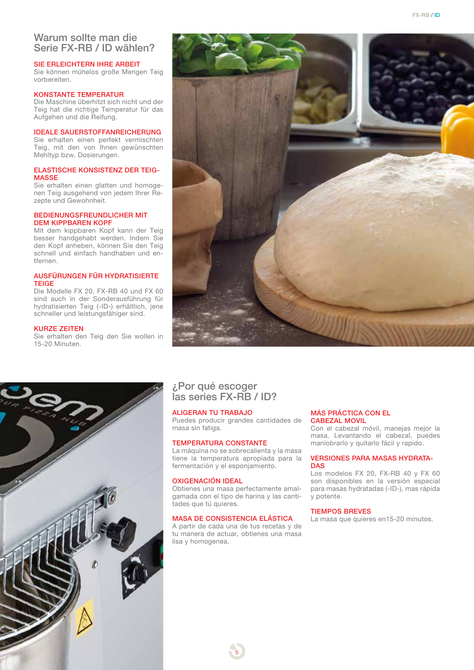# Warum sollte man die Serie FX-RB / ID wählen?

#### SIE ERLEICHTERN IHRE ARBEIT

Sie können mühelos große Mengen Teig vorbereiten.

#### KONSTANTE TEMPERATUR

Die Maschine überhitzt sich nicht und der Teig hat die richtige Temperatur für das Aufgehen und die Reifung.

#### IDEALE SAUERSTOFFANREICHERUNG

Sie erhalten einen perfekt vermischten Teig, mit den von Ihnen gewünschten Mehltyp bzw. Dosierungen.

#### ELASTISCHE KONSISTENZ DER TEIG-MASSE

Sie erhalten einen glatten und homogenen Teig ausgehend von jedem Ihrer Rezepte und Gewohnheit.

#### BEDIENUNGSFREUNDLICHER MIT DEM KIPPBAREN KOPF

Mit dem kippbaren Kopf kann der Teig besser handgehabt werden. Indem Sie den Kopf anheben, können Sie den Teig schnell und einfach handhaben und entfernen.

#### AUSFÜRUNGEN FÜR HYDRATISIERTE TEIGE

Die Modelle FX 20, FX-RB 40 und FX 60 sind auch in der Sonderausführung für hydratisierten Teig (-ID-) erhältlich, jene schneller und leistungsfähiger sind.

#### KURZE ZEITEN

Sie erhalten den Teig den Sie wollen in 15-20 Minuten.



# ¿Por qué escoger las series FX-RB / ID?

#### ALIGERAN TU TRABAJO

Puedes producir grandes cantidades de masa sin fatiga.

#### TEMPERATURA CONSTANTE

La máquina no se sobrecalienta y la masa tiene la temperatura apropiada para la fermentación y el esponjamiento.

#### OXIGENACIÓN IDEAL

Obtienes una masa perfectamente amalgamada con el tipo de harina y las cantitades que tú quieres.

### MASA DE CONSISTENCIA ELÁSTICA

A partir de cada una de tus recetas y de tu manera de actuar, obtienes una masa lisa y homogenea.

#### MÁS PRÁCTICA CON EL CABEZAL MOVIL

Con el cabezal móvil, manejas mejor la masa. Levantando el cabezal, puedes maniobrarlo y quitarlo fácil y rapido.

#### VERSIONES PARA MASAS HYDRATA-**DAS**

Los modelos FX 20, FX-RB 40 y FX 60 son disponibles en la versión especial para masas hydratadas (-ID-), mas rápida y potente.

#### TIEMPOS BREVES

La masa que quieres en15-20 minutos.

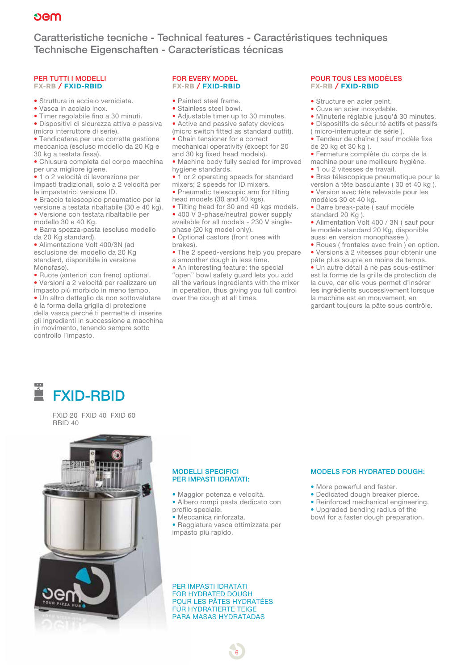Caratteristiche tecniche - Technical features - Caractéristiques techniques Technische Eigenschaften - Características técnicas

#### PER TUTTI I MODELLI **FX-RB / FXID-RBID**

- Struttura in acciaio verniciata.
- Vasca in acciaio inox.
- Timer regolabile fino a 30 minuti.

• Dispositivi di sicurezza attiva e passiva (micro interruttore di serie).

• Tendicatena per una corretta gestione meccanica (escluso modello da 20 Kg e 30 kg a testata fissa).

• Chiusura completa del corpo macchina per una migliore igiene.

• 1 o 2 velocità di lavorazione per impasti tradizionali, solo a 2 velocità per le impastatrici versione ID.

• Braccio telescopico pneumatico per la versione a testata ribaltabile (30 e 40 kg).

• Versione con testata ribaltabile per modello 30 e 40 Kg.

• Barra spezza-pasta (escluso modello da 20 Kg standard).

• Alimentazione Volt 400/3N (ad esclusione del modello da 20 Kg standard, disponibile in versione Monofase).

• Ruote (anteriori con freno) optional. • Versioni a 2 velocità per realizzare un

impasto più morbido in meno tempo.

• Un altro dettaglio da non sottovalutare è la forma della griglia di protezione della vasca perché ti permette di inserire gli ingredienti in successione a macchina in movimento, tenendo sempre sotto controllo l'impasto.

#### FOR EVERY MODEL **FX-RB / FXID-RBID**

- Painted steel frame.
- Stainless steel bowl.

• Adjustable timer up to 30 minutes. • Active and passive safety devices

(micro switch fitted as standard outfit). • Chain tensioner for a correct mechanical operativity (except for 20 and 30 kg fixed head models).

• Machine body fully sealed for improved hygiene standards.

• 1 or 2 operating speeds for standard mixers; 2 speeds for ID mixers.

• Pneumatic telescopic arm for tilting head models (30 and 40 kgs).

• Tilting head for 30 and 40 kgs models. • 400 V 3-phase/neutral power supply available for all models - 230 V singlephase (20 kg model only).

• Optional castors (front ones with brakes).

• The 2 speed-versions help you prepare

a smoother dough in less time.

• An interesting feature: the special "open" bowl safety guard lets you add all the various ingredients with the mixer in operation, thus giving you full control over the dough at all times.

#### POUR TOUS LES MODÈLES **FX-RB / FXID-RBID**

- Structure en acier peint.
- Cuve en acier inoxydable.

• Minuterie réglable jusqu'à 30 minutes. • Dispositifs de sécurité actifs et passifs

- ( micro-interrupteur de série ).
- Tendeur de chaîne ( sauf modèle fixe de 20 kg et 30 kg ).
- Fermeture complète du corps de la machine pour une meilleure hygiène.
- 1 ou 2 vitesses de travail.
- Bras télescopique pneumatique pour la
- version à tête basculante ( 30 et 40 kg ).
- Version avec tête relevable pour les modèles 30 et 40 kg.
- Barre break-pate ( sauf modèle
- standard 20 Kg).

• Alimentation Volt 400 / 3N ( sauf pour le modèle standard 20 Kg, disponible aussi en version monophasée ).

• Roues ( frontales avec frein ) en option. • Versions à 2 vitesses pour obtenir une pâte plus souple en moins de temps.

• Un autre détail à ne pas sous-estimer est la forme de la grille de protection de la cuve, car elle vous permet d'insérer les ingrédients successivement lorsque la machine est en mouvement, en gardant toujours la pâte sous contrôle.



FXID 20 FXID 40 FXID 60 RBID 40



#### MODELLI SPECIFICI PER IMPASTI IDRATATI:

- Maggior potenza e velocità. • Albero rompi pasta dedicato con
- profilo speciale.

• Meccanica rinforzata.

• Raggiatura vasca ottimizzata per impasto più rapido.

PER IMPASTI IDRATATI FOR HYDRATED DOUGH POUR LES PÂTES HYDRATÉES FÜR HYDRATIERTE TEIGE PARA MASAS HYDRATADAS

6

#### MODELS FOR HYDRATED DOUGH:

- More powerful and faster.
- Dedicated dough breaker pierce.
- Reinforced mechanical engineering.
- Upgraded bending radius of the
- bowl for a faster dough preparation.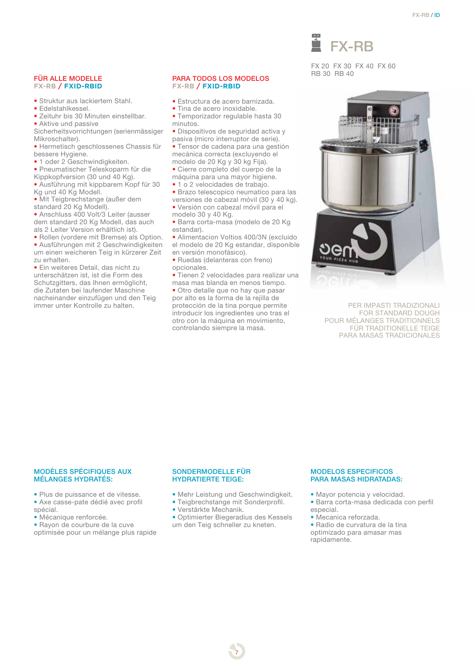#### FÜR ALLE MODELLE **FX-RB / FXID-RBID**

- Struktur aus lackiertem Stahl.
- Edelstahlkessel.
- Zeituhr bis 30 Minuten einstellbar. • Aktive und passive

Sicherheitsvorrichtungen (serienmässiger Mikroschalter).

- Hermetisch geschlossenes Chassis für bessere Hygiene.
- 1 oder 2 Geschwindigkeiten.
- Pneumatischer Teleskoparm für die Kippkopfversion (30 und 40 Kg).
- Ausführung mit kippbarem Kopf für 30 Kg und 40 Kg Modell.
- Mit Teigbrechstange (außer dem standard 20 Kg Modell).
- Anschluss 400 Volt/3 Leiter (ausser dem standard 20 Kg Modell, das auch als 2 Leiter Version erhältlich ist).
- Rollen (vordere mit Bremse) als Option.
- Ausführungen mit 2 Geschwindigkeiten um einen weicheren Teig in kürzerer Zeit zu erhalten.

• Ein weiteres Detail, das nicht zu unterschätzen ist, ist die Form des Schutzgitters, das Ihnen ermöglicht, die Zutaten bei laufender Maschine nacheinander einzufügen und den Teig immer unter Kontrolle zu halten.

#### PARA TODOS LOS MODELOS **FX-RB / FXID-RBID**

- Estructura de acero barnizada.
- Tina de acero inoxidable.
- Temporizador regulable hasta 30 minutos.
- Dispositivos de seguridad activa y pasiva (micro interruptor de serie).
- Tensor de cadena para una gestión mecánica correcta (excluyendo el modelo de 20 Kg y 30 kg Fija).
- Cierre completo del cuerpo de la máquina para una mayor higiene.
- 1 o 2 velocidades de trabajo.
- Brazo telescopico neumatico para las versiones de cabezal móvil (30 y 40 kg).
- Versión con cabezal móvil para el modelo 30 y 40 Kg.
- Barra corta-masa (modelo de 20 Kg estandar).
- Alimentacion Voltios 400/3N (excluido el modelo de 20 Kg estandar, disponible en versión monofásico).
- Ruedas (delanteras con freno) opcionales.
- Tienen 2 velocidades para realizar una masa mas blanda en menos tiempo.
- Otro detalle que no hay que pasar por alto es la forma de la rejilla de protección de la tina porque permite introducir los ingredientes uno tras el otro con la máquina en movimiento, controlando siempre la masa.



FX 20 FX 30 FX 40 FX 60 RB 30 RB 40



PER IMPASTI TRADIZIONALI FOR STANDARD DOUGH POUR MÉLANGES TRADITIONNELS FÜR TRADITIONELLE TEIGE PARA MASAS TRADICIONALES

#### MODÈLES SPÉCIFIQUES AUX MÉLANGES HYDRATÉS:

• Plus de puissance et de vitesse. • Axe casse-pate dédié avec profil spécial.

- Mécanique renforcée.
- Rayon de courbure de la cuve
- optimisée pour un mélange plus rapide

#### SONDERMODELLE FÜR HYDRATIERTE TEIGE:

- Mehr Leistung und Geschwindigkeit.
- Teigbrechstange mit Sonderprofil.
- Verstärkte Mechanik.
- Optimierter Biegeradius des Kessels um den Teig schneller zu kneten.

7

#### MODELOS ESPECIFICOS PARA MASAS HIDRATADAS:

- Mayor potencia y velocidad. • Barra corta-masa dedicada con perfil
- especial.
- Mecanica reforzada.

• Radio de curvatura de la tina optimizado para amasar mas rapidamente.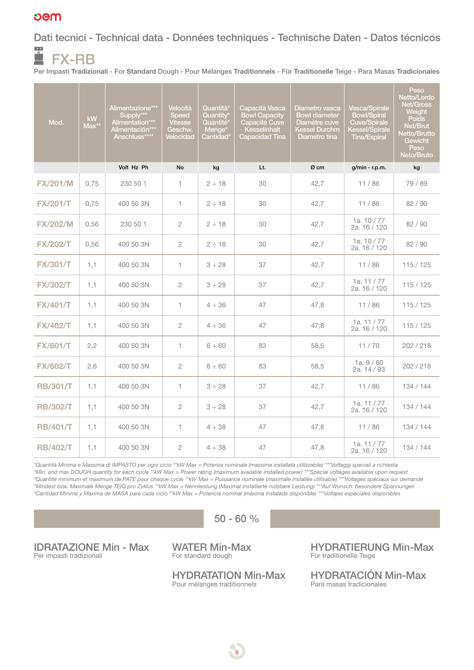# **Dem**

Dati tecnici - Technical data - Données techniques - Technische Daten - Datos técnicos  $\overline{\phantom{a}}$ 

FX-RB Per Impasti Tradizionali - For Standard Dough - Pour Mélanges Traditionnels - Für Traditionelle Teige - Para Masas Tradicionales

| Mod.            | <b>kW</b><br>Max** | Alimentazione***<br>Supply***<br>Alimentation***<br>Alimentación***<br>Anschluss**** | Velocità<br><b>Speed</b><br><b>Vitesse</b><br>Geschw.<br>Velocidad | Quantità*<br>Quantity*<br>Quantité <sup>®</sup><br>Menge <sup>*</sup><br>Cantidad' | Capacità Vasca<br><b>Bowl Capacity</b><br>Capacité Cuve<br>Kesselinhalt<br><b>Capacidad Tina</b> | Diametro vasca<br><b>Bowl diameter</b><br>Diamètre cuve<br>Kessel Durchm<br>Diametro tina | Vasca/Spirale<br><b>Bowl/Spiral</b><br>Cuve/Spirale<br>Kessel/Spirale<br><b>Tina/Espiral</b> | Peso<br>Netto/Lordo<br><b>Net/Gross</b><br><b>Weight</b><br><b>Poids</b><br>Net/Brut<br>Netto/Brutto<br>Gewicht<br>Peso<br>Neto/Bruto |
|-----------------|--------------------|--------------------------------------------------------------------------------------|--------------------------------------------------------------------|------------------------------------------------------------------------------------|--------------------------------------------------------------------------------------------------|-------------------------------------------------------------------------------------------|----------------------------------------------------------------------------------------------|---------------------------------------------------------------------------------------------------------------------------------------|
|                 |                    | Volt Hz Ph                                                                           | No                                                                 | kg                                                                                 | Lt.                                                                                              | Ø cm                                                                                      | $g/min - r.p.m.$                                                                             | kg                                                                                                                                    |
| <b>FX/201/M</b> | 0,75               | 230 50 1                                                                             | 1.                                                                 | $2 \div 18$                                                                        | 30                                                                                               | 42,7                                                                                      | 11/86                                                                                        | 79 / 89                                                                                                                               |
| <b>FX/201/T</b> | 0,75               | 400 50 3N                                                                            | 1.                                                                 | $2 \div 18$                                                                        | 30                                                                                               | 42,7                                                                                      | 11/86                                                                                        | 82 / 90                                                                                                                               |
| <b>FX/202/M</b> | 0,56               | 230 50 1                                                                             | $\overline{2}$                                                     | $2 \div 18$                                                                        | 30                                                                                               | 42,7                                                                                      | 1a, $10/77$<br>2a. 16 / 120                                                                  | 82/90                                                                                                                                 |
| <b>FX/202/T</b> | 0,56               | 400 50 3N                                                                            | $\overline{2}$                                                     | $2 \div 18$                                                                        | 30                                                                                               | 42,7                                                                                      | 1a, $10/77$<br>2a. 16 / 120                                                                  | 82/90                                                                                                                                 |
| <b>FX/301/T</b> | 1,1                | 400 50 3N                                                                            | $\mathbf{1}$                                                       | $3 \div 28$                                                                        | 37                                                                                               | 42,7                                                                                      | 11/86                                                                                        | 115/125                                                                                                                               |
| <b>FX/302/T</b> | 1,1                | 400 50 3N                                                                            | $\overline{2}$                                                     | $3 \div 28$                                                                        | 37                                                                                               | 42,7                                                                                      | 1a. $11/77$<br>2a. 16 / 120                                                                  | 115/125                                                                                                                               |
| <b>FX/401/T</b> | 1,1                | 400 50 3N                                                                            | 1.                                                                 | $4 \div 36$                                                                        | 47                                                                                               | 47,8                                                                                      | 11/86                                                                                        | 115/125                                                                                                                               |
| <b>FX/402/T</b> | 1,1                | 400 50 3N                                                                            | 2                                                                  | $4 \div 36$                                                                        | 47                                                                                               | 47,8                                                                                      | 1a. $11/77$<br>2a. 16 / 120                                                                  | 115/125                                                                                                                               |
| <b>FX/601/T</b> | 2,2                | 400 50 3N                                                                            | 1                                                                  | $6 \div 60$                                                                        | 83                                                                                               | 58,5                                                                                      | 11/70                                                                                        | 202 / 218                                                                                                                             |
| <b>FX/602/T</b> | 2,6                | 400 50 3N                                                                            | $\overline{2}$                                                     | $6 \div 60$                                                                        | 83                                                                                               | 58,5                                                                                      | 1a.9/60<br>2a. 14 / 93                                                                       | 202/218                                                                                                                               |
| <b>RB/301/T</b> | 1,1                | 400 50 3N                                                                            | $\mathbf{1}$                                                       | $3 \div 28$                                                                        | 37                                                                                               | 42,7                                                                                      | 11/86                                                                                        | 134 / 144                                                                                                                             |
| <b>RB/302/T</b> | 1,1                | 400 50 3N                                                                            | $\overline{2}$                                                     | $3 \div 28$                                                                        | 37                                                                                               | 42,7                                                                                      | 1a. 11 / 77<br>2a. 16 / 120                                                                  | 134 / 144                                                                                                                             |
| <b>RB/401/T</b> | 1,1                | 400 50 3N                                                                            | 1.                                                                 | $4 \div 38$                                                                        | 47                                                                                               | 47,8                                                                                      | 11/86                                                                                        | 134 / 144                                                                                                                             |
| <b>RB/402/T</b> | 1,1                | 400 50 3N                                                                            | $\overline{2}$                                                     | $4 \div 38$                                                                        | 47                                                                                               | 47,8                                                                                      | 1a, $11/77$<br>2a. 16 / 120                                                                  | 134 / 144                                                                                                                             |

*\*Quantità Minima e Massima di IMPASTO per ogni ciclo \*\*kW Max = Potenza nominale (massima installata utilizzabile) \*\*\*Voltaggi speciali a richiesta \*Min. and max DOUGH quantity for each cycle \*\*kW Max = Power rating (maximum available installed power) \*\*\*Special voltages available upon request \*Quantité minimum et maximum de PATE pour chaque cycle \*\*kW Max = Puissance nominale (maximale installée utilisable) \*\*\*Voltages spéciaux sur demande \*Mindest bzw. Maximale Menge TEIG pro Zyklus \*\*kW Max = Nennleistung (Maximal installierte nutzbare Leistung) \*\*\*Auf Wunsch: besondere Spannungen \*Cantidad Minima y Maxima de MASA para cada ciclo \*\*kW Max = Potencia nominal (màxima instalada disponible) \*\*\*Voltajes especiales disponibles*

 $50 - 60 %$ 

IDRATAZIONE Min - Max Per impasti tradizionali

WATER Min-Max For standard dough

HYDRATATION Min-Max Pour mélanges traditionnels

8

HYDRATIERUNG Min-Max Für traditionelle Teige

HYDRATACIÓN Min-Max Para masas tradicionales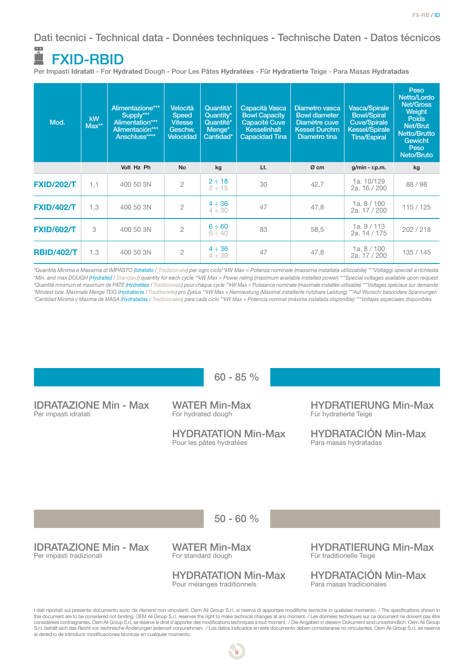Dati tecnici - Technical data - Données techniques - Technische Daten - Datos técnicos  $\overline{\phantom{a}}$ 

# FXID-RBID

Per Impasti Idratati - For Hydrated Dough - Pour Les Pâtes Hydratées - Für Hydratierte Teige - Para Masas Hydratadas

| Mod.              | <b>kW</b><br>$Max**$ | Alimentazione***<br>Supply***<br>Alimentation***<br>Alimentación***<br>Anschluss**** | <b>Velocità</b><br><b>Speed</b><br><b>Vitesse</b><br>Geschw.<br><b>Velocidad</b> | Quantità*<br>Quantity*<br>Quantité*<br>Menge <sup>*</sup><br>Cantidad* | Capacità Vasca<br><b>Bowl Capacity</b><br>Capacité Cuve<br><b>Kesselinhalt</b><br><b>Capacidad Tina</b> | Diametro vasca<br><b>Bowl diameter</b><br>Diamètre cuve<br><b>Kessel Durchm</b><br>Diametro tina | Vasca/Spirale<br><b>Bowl/Spiral</b><br><b>Cuve/Spirale</b><br><b>Kessel/Spirale</b><br><b>Tina/Espiral</b> | Peso<br>Netto/Lordo<br>Net/Gross<br><b>Weight</b><br><b>Poids</b><br>Net/Brut<br><b>Netto/Brutto</b><br><b>Gewicht</b><br>Peso<br>Neto/Bruto |
|-------------------|----------------------|--------------------------------------------------------------------------------------|----------------------------------------------------------------------------------|------------------------------------------------------------------------|---------------------------------------------------------------------------------------------------------|--------------------------------------------------------------------------------------------------|------------------------------------------------------------------------------------------------------------|----------------------------------------------------------------------------------------------------------------------------------------------|
|                   |                      | Volt Hz Ph                                                                           | <b>No</b>                                                                        | kg                                                                     | Lt.                                                                                                     | Ø cm                                                                                             | $g/min - r.p.m.$                                                                                           | kg                                                                                                                                           |
| <b>FXID/202/T</b> | 1,1                  | 400 50 3N                                                                            | $\overline{2}$                                                                   | $2 \div 18$<br>$2 \div 15$                                             | 30                                                                                                      | 42,7                                                                                             | 1a. 10/129<br>2a, 16 / 200                                                                                 | 88 / 98                                                                                                                                      |
| <b>FXID/402/T</b> | 1,3                  | 400 50 3N                                                                            | $\overline{2}$                                                                   | $4 \div 36$<br>$4 \div 30$                                             | 47                                                                                                      | 47,8                                                                                             | 1a.8/100<br>2a, 17 / 200                                                                                   | 115/125                                                                                                                                      |
| <b>FXID/602/T</b> | 3                    | 400 50 3N                                                                            | $\overline{2}$                                                                   | $6 \div 60$<br>$6 \div 40$                                             | 83                                                                                                      | 58,5                                                                                             | 1a.9/113<br>2a. 14 / 175                                                                                   | 202/218                                                                                                                                      |
| <b>RBID/402/T</b> | 1,3                  | 400 50 3N                                                                            | $\overline{c}$                                                                   | $4 \div 36$<br>$4 \div 30$                                             | 47                                                                                                      | 47,8                                                                                             | 1a.8/100<br>2a, 17 / 200                                                                                   | 135/145                                                                                                                                      |

*\*Quantità Minima e Massima di IMPASTO (Idratato / Tradizionale) per ogni ciclo\*\*kW Max = Potenza nominale (massima installata utilizzabile) \*\*\*Voltaggi speciali a richiesta \*Min. and max DOUGH (Hydrated / Standard) quantity for each cycle \*\*kW Max = Power rating (maximum available installed power) \*\*\*Special voltages available upon request \*Quantité minimum et maximum de PATE (Hydratées / Traditionnels) pour chaque cycle \*\*kW Max = Puissance nominale (maximale installée utilisable) \*\*\*Voltages spéciaux sur demande \*Mindest bzw. Maximale Menge TEIG (Hydratierte / Traditionelle) pro Zyklus \*\*kW Max = Nennleistung (Maximal installierte nutzbare Leistung) \*\*\*Auf Wunsch: besondere Spannungen \*Cantidad Minima y Maxima de MASA (Hydratadas / Tradicionales) para cada ciclo \*\*kW Max = Potencia nominal (màxima instalada disponible) \*\*\*Voltajes especiales disponibles* 



considérées contraigrantes. Oem Ali Group S.r.l. se réserve le droit d'apporter des modifications techniques à tout moment. / Die Angaben in diesem Dokument sind unverbindlich. Oem Ali Group<br>S.r.l. behält sich das Recht vo el derecho de introducir modificaciones técnicas en cualquier momento.

9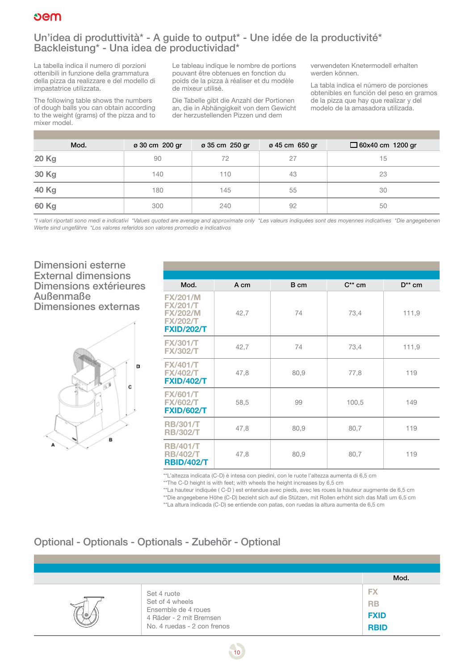

# Un'idea di produttività\* - A guide to output\* - Une idée de la productivité\* Backleistung\* - Una idea de productividad\*

La tabella indica il numero di porzioni ottenibili in funzione della grammatura della pizza da realizzare e del modello di impastatrice utilizzata.

The following table shows the numbers of dough balls you can obtain according to the weight (grams) of the pizza and to mixer model.

Le tableau indique le nombre de portions pouvant être obtenues en fonction du poids de la pizza à réaliser et du modèle de mixeur utilisé.

Die Tabelle gibt die Anzahl der Portionen an, die in Abhängigkeit von dem Gewicht der herzustellenden Pizzen und dem

verwendeten Knetermodell erhalten werden können.

La tabla indica el número de porciones obtenibles en función del peso en gramos de la pizza que hay que realizar y del modelo de la amasadora utilizada.

| Mod.  | ø 30 cm 200 gr | ø 35 cm 250 gr | ø 45 cm 650 gr | $\Box$ 60x40 cm 1200 gr |
|-------|----------------|----------------|----------------|-------------------------|
| 20 Kg | 90             | 72             | 27             | 15                      |
| 30 Kg | 140            | 110            | 43             | 23                      |
| 40 Kg | 180            | 145            | 55             | 30                      |
| 60 Kg | 300            | 240            | 92             | 50                      |

*\*I valori riportati sono medi e indicativi \*Values quoted are average and approximate only \*Les valeurs indiquées sont des moyennes indicatives \*Die angegebenen Werte sind ungefähre \*Los valores referidos son valores promedio e indicativos*

# Dimensioni esterne External dimensions Dimensions extérieures Außenmaße Dimensiones externas



| Mod.                                                                                          | A cm | B cm | $C^*$ cm | $D^{**}$ cm |
|-----------------------------------------------------------------------------------------------|------|------|----------|-------------|
| <b>FX/201/M</b><br><b>FX/201/T</b><br><b>FX/202/M</b><br><b>FX/202/T</b><br><b>FXID/202/T</b> | 42,7 | 74   | 73,4     | 111,9       |
| <b>FX/301/T</b><br><b>FX/302/T</b>                                                            | 42,7 | 74   | 73,4     | 111,9       |
| <b>FX/401/T</b><br><b>FX/402/T</b><br><b>FXID/402/T</b>                                       | 47,8 | 80,9 | 77,8     | 119         |
| <b>FX/601/T</b><br><b>FX/602/T</b><br><b>FXID/602/T</b>                                       | 58,5 | 99   | 100,5    | 149         |
| <b>RB/301/T</b><br><b>RB/302/T</b>                                                            | 47,8 | 80,9 | 80,7     | 119         |
| <b>RB/401/T</b><br><b>RB/402/T</b><br><b>RBID/402/T</b>                                       | 47,8 | 80,9 | 80,7     | 119         |

\*\*L'altezza indicata (C-D) è intesa con piedini, con le ruote l'altezza aumenta di 6,5 cm

\*\*The C-D height is with feet; with wheels the height increases by 6,5 cm

\*\*La hauteur indiquée ( C-D ) est entendue avec pieds, avec les roues la hauteur augmente de 6,5 cm \*\*Die angegebene Höhe (C-D) bezieht sich auf die Stützen, mit Rollen erhöht sich das Maß um 6,5 cm

\*\*La altura indicada (C-D) se entiende con patas, con ruedas la altura aumenta de 6,5 cm

# Optional - Optionals - Optionals - Zubehör - Optional

|      |                                                                                                                 | Mod.                                                 |
|------|-----------------------------------------------------------------------------------------------------------------|------------------------------------------------------|
| (  ⊙ | Set 4 ruote<br>Set of 4 wheels<br>Ensemble de 4 roues<br>4 Räder - 2 mit Bremsen<br>No. 4 ruedas - 2 con frenos | <b>FX</b><br><b>RB</b><br><b>FXID</b><br><b>RBID</b> |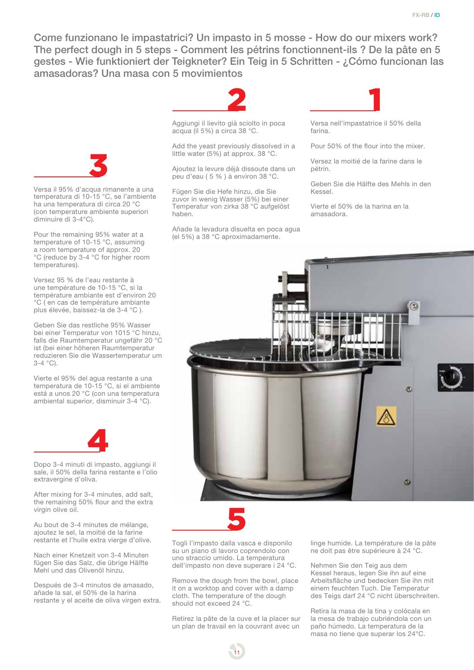Come funzionano le impastatrici? Un impasto in 5 mosse - How do our mixers work? The perfect dough in 5 steps - Comment les pétrins fonctionnent-ils ? De la pâte en 5 gestes - Wie funktioniert der Teigkneter? Ein Teig in 5 Schritten - ¿Cómo funcionan las amasadoras? Una masa con 5 movimientos



Versa il 95% d'acqua rimanente a una temperatura di 10-15 °C, se l'ambiente ha una temperatura di circa 20 °C (con temperature ambiente superiori diminuire di 3-4°C).

Pour the remaining 95% water at a temperature of 10-15 °C, assuming a room temperature of approx. 20 °C (reduce by 3-4 °C for higher room temperatures).

Versez 95 % de l'eau restante à une température de 10-15 °C, si la température ambiante est d'environ 20 °C ( en cas de température ambiante plus élevée, baissez-la de 3-4 °C ).

Geben Sie das restliche 95% Wasser bei einer Temperatur von 1015 °C hinzu, falls die Raumtemperatur ungefähr 20 °C ist (bei einer höheren Raumtemperatur reduzieren Sie die Wassertemperatur um  $3-4$  °C).

Vierte el 95% del agua restante a una temperatura de 10-15 °C, si el ambiente está a unos 20 °C (con una temperatura ambiental superior, disminuir 3-4 °C).



Dopo 3-4 minuti di impasto, aggiungi il sale, il 50% della farina restante e l'olio extravergine d'oliva.

After mixing for 3-4 minutes, add salt, the remaining 50% flour and the extra virgin olive oil.

Au bout de 3-4 minutes de mélange, ajoutez le sel, la moitié de la farine restante et l'huile extra vierge d'olive.

Nach einer Knetzeit von 3-4 Minuten fügen Sie das Salz, die übrige Hälfte Mehl und das Olivenöl hinzu.

Después de 3-4 minutos de amasado, añade la sal, el 50% de la harina restante y el aceite de oliva virgen extra.



Aggiungi il lievito già sciolto in poca acqua (il 5%) a circa 38 °C.

Add the yeast previously dissolved in a little water (5%) at approx. 38 °C.

Ajoutez la levure déjà dissoute dans un peu d'eau ( 5 % ) à environ 38 °C.

Fügen Sie die Hefe hinzu, die Sie zuvor in wenig Wasser (5%) bei einer Temperatur von zirka 38 °C aufgelöst haben.

Añade la levadura disuelta en poca agua (el 5%) a 38 °C aproximadamente.

Versa nell'impastatrice il 50% della farina.

Pour 50% of the flour into the mixer.

Versez la moitié de la farine dans le pétrin.

Geben Sie die Hälfte des Mehls in den Kessel.

Vierte el 50% de la harina en la amasadora.





Togli l'impasto dalla vasca e disponilo su un piano di lavoro coprendolo con uno straccio umido. La temperatura dell'impasto non deve superare i 24 °C.

Remove the dough from the bowl, place it on a worktop and cover with a damp cloth. The temperature of the dough should not exceed 24 °C.

Retirez la pâte de la cuve et la placer sur un plan de travail en la couvrant avec un

11

linge humide. La température de la pâte ne doit pas être supérieure à 24 °C.

Nehmen Sie den Teig aus dem Kessel heraus, legen Sie ihn auf eine Arbeitsfläche und bedecken Sie ihn mit einem feuchten Tuch. Die Temperatur des Teigs darf 24 °C nicht überschreiten.

Retira la masa de la tina y colócala en la mesa de trabajo cubriéndola con un paño húmedo. La temperatura de la masa no tiene que superar los 24°C.